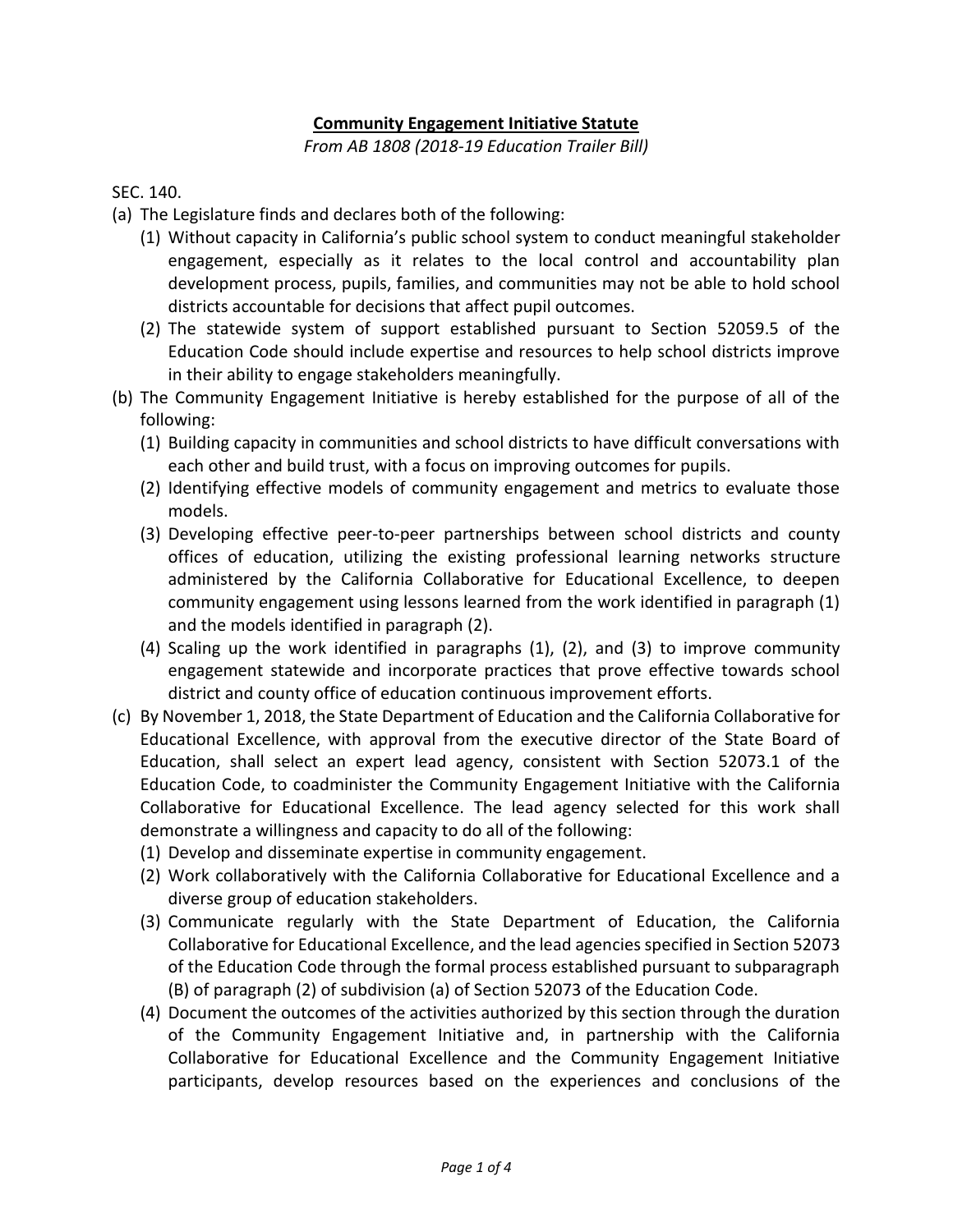## **Community Engagement Initiative Statute**

*From AB 1808 (2018-19 Education Trailer Bill)*

SEC. 140.

- (a) The Legislature finds and declares both of the following:
	- (1) Without capacity in California's public school system to conduct meaningful stakeholder engagement, especially as it relates to the local control and accountability plan development process, pupils, families, and communities may not be able to hold school districts accountable for decisions that affect pupil outcomes.
	- (2) The statewide system of support established pursuant to Section 52059.5 of the Education Code should include expertise and resources to help school districts improve in their ability to engage stakeholders meaningfully.
- (b) The Community Engagement Initiative is hereby established for the purpose of all of the following:
	- (1) Building capacity in communities and school districts to have difficult conversations with each other and build trust, with a focus on improving outcomes for pupils.
	- (2) Identifying effective models of community engagement and metrics to evaluate those models.
	- (3) Developing effective peer-to-peer partnerships between school districts and county offices of education, utilizing the existing professional learning networks structure administered by the California Collaborative for Educational Excellence, to deepen community engagement using lessons learned from the work identified in paragraph (1) and the models identified in paragraph (2).
	- (4) Scaling up the work identified in paragraphs (1), (2), and (3) to improve community engagement statewide and incorporate practices that prove effective towards school district and county office of education continuous improvement efforts.
- (c) By November 1, 2018, the State Department of Education and the California Collaborative for Educational Excellence, with approval from the executive director of the State Board of Education, shall select an expert lead agency, consistent with Section 52073.1 of the Education Code, to coadminister the Community Engagement Initiative with the California Collaborative for Educational Excellence. The lead agency selected for this work shall demonstrate a willingness and capacity to do all of the following:
	- (1) Develop and disseminate expertise in community engagement.
	- (2) Work collaboratively with the California Collaborative for Educational Excellence and a diverse group of education stakeholders.
	- (3) Communicate regularly with the State Department of Education, the California Collaborative for Educational Excellence, and the lead agencies specified in Section 52073 of the Education Code through the formal process established pursuant to subparagraph (B) of paragraph (2) of subdivision (a) of Section 52073 of the Education Code.
	- (4) Document the outcomes of the activities authorized by this section through the duration of the Community Engagement Initiative and, in partnership with the California Collaborative for Educational Excellence and the Community Engagement Initiative participants, develop resources based on the experiences and conclusions of the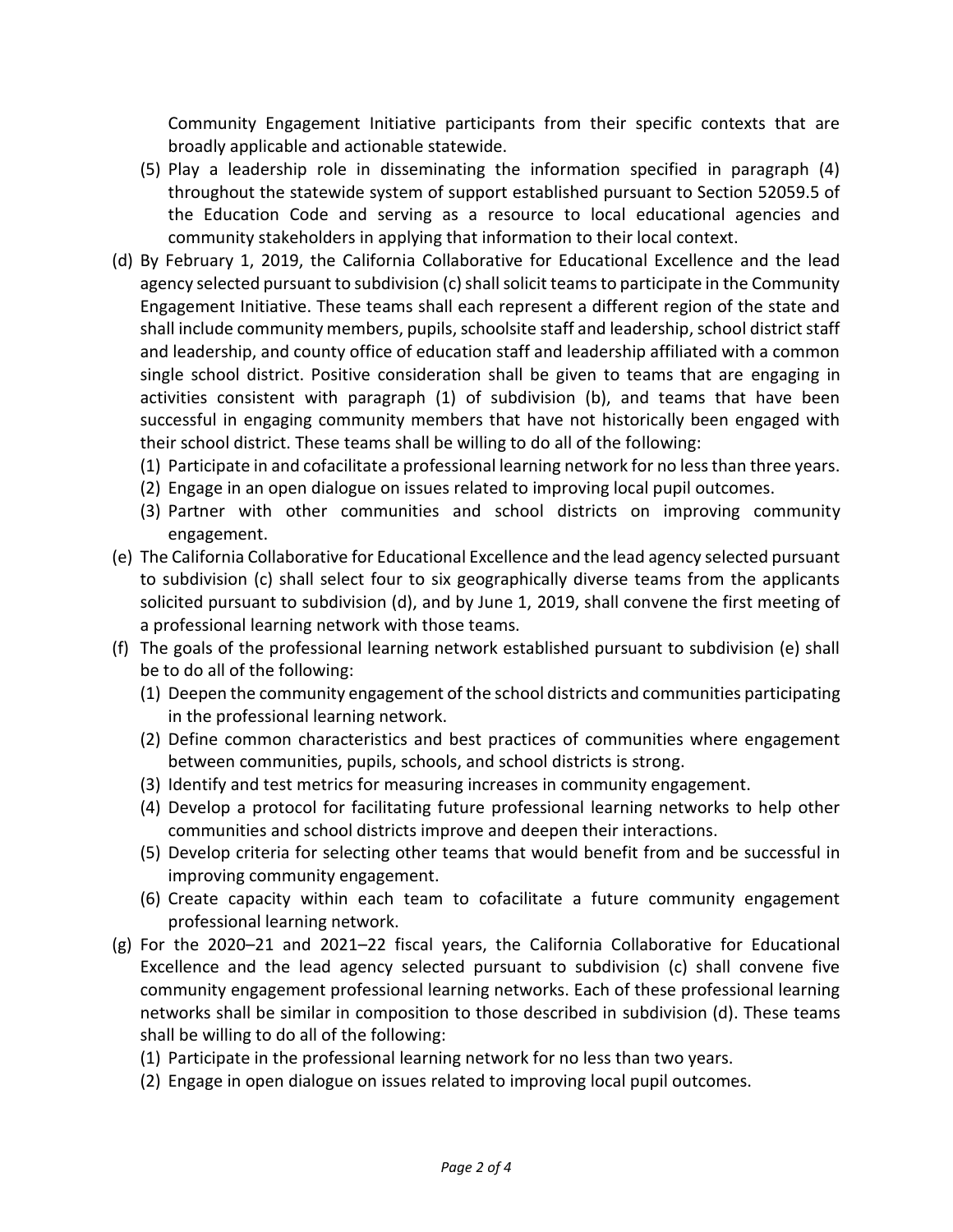Community Engagement Initiative participants from their specific contexts that are broadly applicable and actionable statewide.

- (5) Play a leadership role in disseminating the information specified in paragraph (4) throughout the statewide system of support established pursuant to Section 52059.5 of the Education Code and serving as a resource to local educational agencies and community stakeholders in applying that information to their local context.
- (d) By February 1, 2019, the California Collaborative for Educational Excellence and the lead agency selected pursuant to subdivision (c) shall solicit teams to participate in the Community Engagement Initiative. These teams shall each represent a different region of the state and shall include community members, pupils, schoolsite staff and leadership, school district staff and leadership, and county office of education staff and leadership affiliated with a common single school district. Positive consideration shall be given to teams that are engaging in activities consistent with paragraph (1) of subdivision (b), and teams that have been successful in engaging community members that have not historically been engaged with their school district. These teams shall be willing to do all of the following:
	- (1) Participate in and cofacilitate a professional learning network for no less than three years.
	- (2) Engage in an open dialogue on issues related to improving local pupil outcomes.
	- (3) Partner with other communities and school districts on improving community engagement.
- (e) The California Collaborative for Educational Excellence and the lead agency selected pursuant to subdivision (c) shall select four to six geographically diverse teams from the applicants solicited pursuant to subdivision (d), and by June 1, 2019, shall convene the first meeting of a professional learning network with those teams.
- (f) The goals of the professional learning network established pursuant to subdivision (e) shall be to do all of the following:
	- (1) Deepen the community engagement of the school districts and communities participating in the professional learning network.
	- (2) Define common characteristics and best practices of communities where engagement between communities, pupils, schools, and school districts is strong.
	- (3) Identify and test metrics for measuring increases in community engagement.
	- (4) Develop a protocol for facilitating future professional learning networks to help other communities and school districts improve and deepen their interactions.
	- (5) Develop criteria for selecting other teams that would benefit from and be successful in improving community engagement.
	- (6) Create capacity within each team to cofacilitate a future community engagement professional learning network.
- (g) For the 2020–21 and 2021–22 fiscal years, the California Collaborative for Educational Excellence and the lead agency selected pursuant to subdivision (c) shall convene five community engagement professional learning networks. Each of these professional learning networks shall be similar in composition to those described in subdivision (d). These teams shall be willing to do all of the following:
	- (1) Participate in the professional learning network for no less than two years.
	- (2) Engage in open dialogue on issues related to improving local pupil outcomes.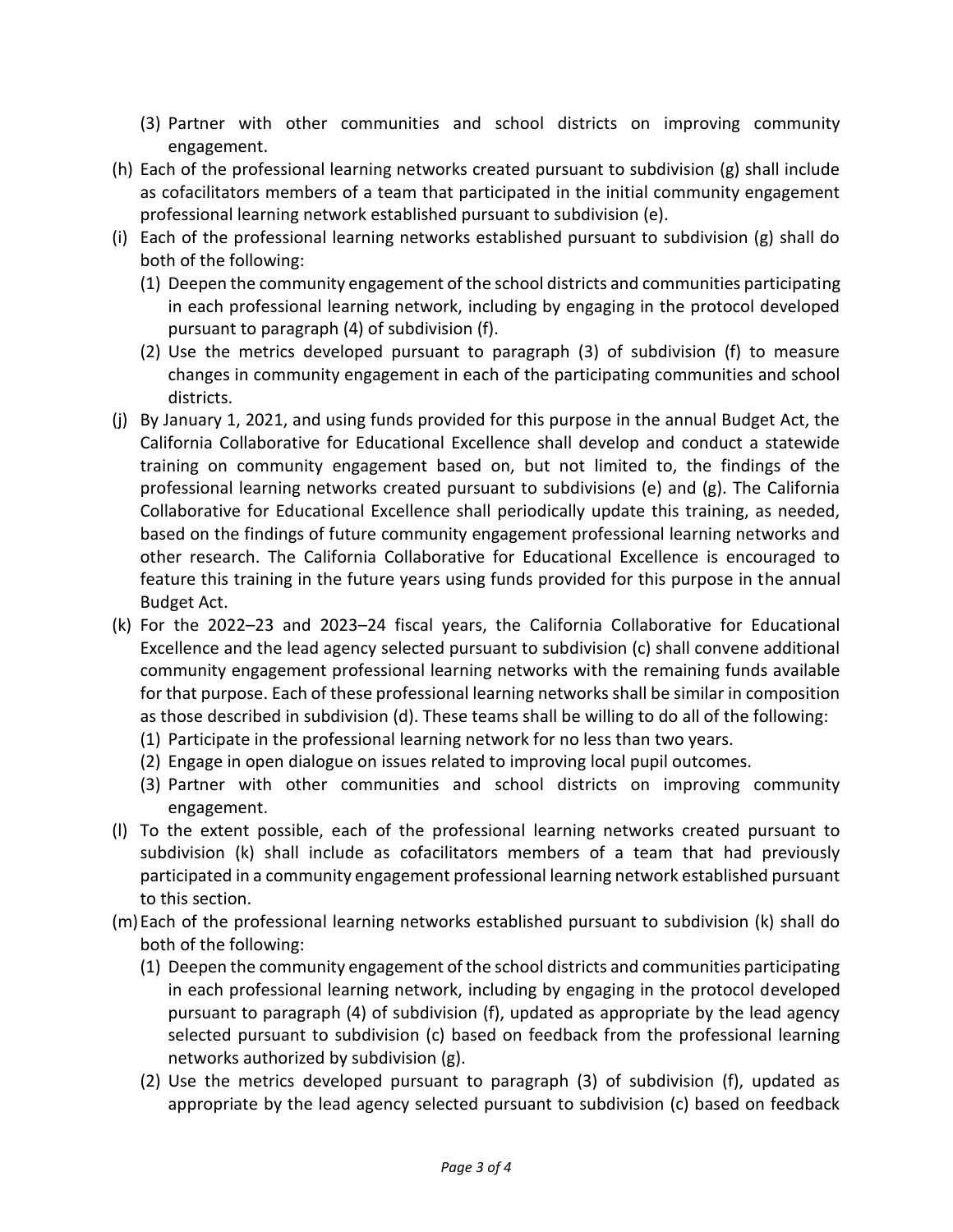- (3) Partner with other communities and school districts on improving community engagement.
- (h) Each of the professional learning networks created pursuant to subdivision (g) shall include as cofacilitators members of a team that participated in the initial community engagement professional learning network established pursuant to subdivision (e).
- (i) Each of the professional learning networks established pursuant to subdivision (g) shall do both of the following:
	- (1) Deepen the community engagement of the school districts and communities participating in each professional learning network, including by engaging in the protocol developed pursuant to paragraph (4) of subdivision (f).
	- (2) Use the metrics developed pursuant to paragraph (3) of subdivision (f) to measure changes in community engagement in each of the participating communities and school districts.
- (j) By January 1, 2021, and using funds provided for this purpose in the annual Budget Act, the California Collaborative for Educational Excellence shall develop and conduct a statewide training on community engagement based on, but not limited to, the findings of the professional learning networks created pursuant to subdivisions (e) and (g). The California Collaborative for Educational Excellence shall periodically update this training, as needed, based on the findings of future community engagement professional learning networks and other research. The California Collaborative for Educational Excellence is encouraged to feature this training in the future years using funds provided for this purpose in the annual Budget Act.
- (k) For the 2022–23 and 2023–24 fiscal years, the California Collaborative for Educational Excellence and the lead agency selected pursuant to subdivision (c) shall convene additional community engagement professional learning networks with the remaining funds available for that purpose. Each of these professional learning networks shall be similar in composition as those described in subdivision (d). These teams shall be willing to do all of the following:
	- (1) Participate in the professional learning network for no less than two years.
	- (2) Engage in open dialogue on issues related to improving local pupil outcomes.
	- (3) Partner with other communities and school districts on improving community engagement.
- (l) To the extent possible, each of the professional learning networks created pursuant to subdivision (k) shall include as cofacilitators members of a team that had previously participated in a community engagement professional learning network established pursuant to this section.
- (m)Each of the professional learning networks established pursuant to subdivision (k) shall do both of the following:
	- (1) Deepen the community engagement of the school districts and communities participating in each professional learning network, including by engaging in the protocol developed pursuant to paragraph (4) of subdivision (f), updated as appropriate by the lead agency selected pursuant to subdivision (c) based on feedback from the professional learning networks authorized by subdivision (g).
	- (2) Use the metrics developed pursuant to paragraph (3) of subdivision (f), updated as appropriate by the lead agency selected pursuant to subdivision (c) based on feedback